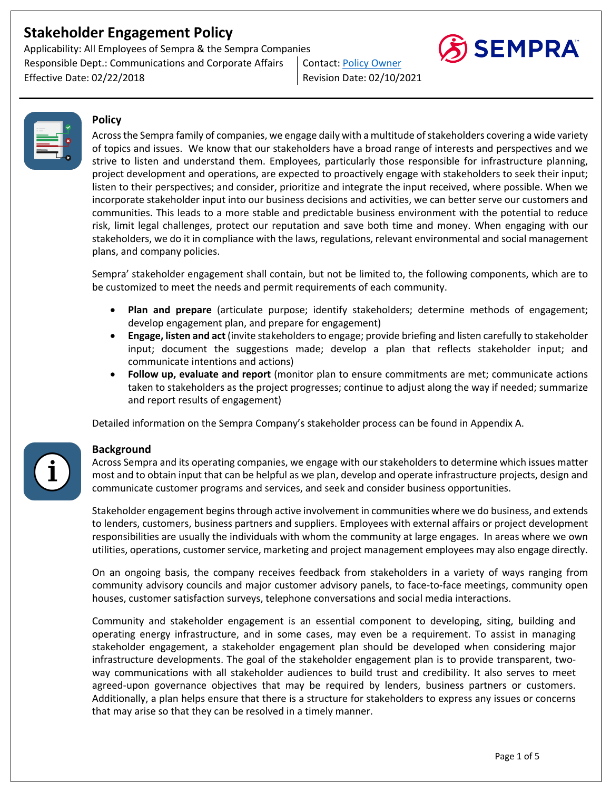Applicability: All Employees of Sempra & the Sempra Companies Responsible Dept.: Communications and Corporate Affairs | Contact: Policy Owner Effective Date: 02/22/2018 Revision Date: 02/10/2021





## **Policy**

Across the Sempra family of companies, we engage daily with a multitude of stakeholders covering a wide variety of topics and issues. We know that our stakeholders have a broad range of interests and perspectives and we strive to listen and understand them. Employees, particularly those responsible for infrastructure planning, project development and operations, are expected to proactively engage with stakeholders to seek their input; listen to their perspectives; and consider, prioritize and integrate the input received, where possible. When we incorporate stakeholder input into our business decisions and activities, we can better serve our customers and communities. This leads to a more stable and predictable business environment with the potential to reduce risk, limit legal challenges, protect our reputation and save both time and money. When engaging with our stakeholders, we do it in compliance with the laws, regulations, relevant environmental and social management plans, and company policies.

Sempra' stakeholder engagement shall contain, but not be limited to, the following components, which are to be customized to meet the needs and permit requirements of each community.

- **Plan and prepare** (articulate purpose; identify stakeholders; determine methods of engagement; develop engagement plan, and prepare for engagement)
- **Engage, listen and act** (invite stakeholders to engage; provide briefing and listen carefully to stakeholder input; document the suggestions made; develop a plan that reflects stakeholder input; and communicate intentions and actions)
- **Follow up, evaluate and report** (monitor plan to ensure commitments are met; communicate actions taken to stakeholders as the project progresses; continue to adjust along the way if needed; summarize and report results of engagement)

Detailed information on the Sempra Company's stakeholder process can be found in Appendix A.

## **Background**

Across Sempra and its operating companies, we engage with our stakeholders to determine which issues matter most and to obtain input that can be helpful as we plan, develop and operate infrastructure projects, design and communicate customer programs and services, and seek and consider business opportunities.

Stakeholder engagement begins through active involvement in communities where we do business, and extends to lenders, customers, business partners and suppliers. Employees with external affairs or project development responsibilities are usually the individuals with whom the community at large engages. In areas where we own utilities, operations, customer service, marketing and project management employees may also engage directly.

On an ongoing basis, the company receives feedback from stakeholders in a variety of ways ranging from community advisory councils and major customer advisory panels, to face-to-face meetings, community open houses, customer satisfaction surveys, telephone conversations and social media interactions.

Community and stakeholder engagement is an essential component to developing, siting, building and operating energy infrastructure, and in some cases, may even be a requirement. To assist in managing stakeholder engagement, a stakeholder engagement plan should be developed when considering major infrastructure developments. The goal of the stakeholder engagement plan is to provide transparent, twoway communications with all stakeholder audiences to build trust and credibility. It also serves to meet agreed-upon governance objectives that may be required by lenders, business partners or customers. Additionally, a plan helps ensure that there is a structure for stakeholders to express any issues or concerns that may arise so that they can be resolved in a timely manner.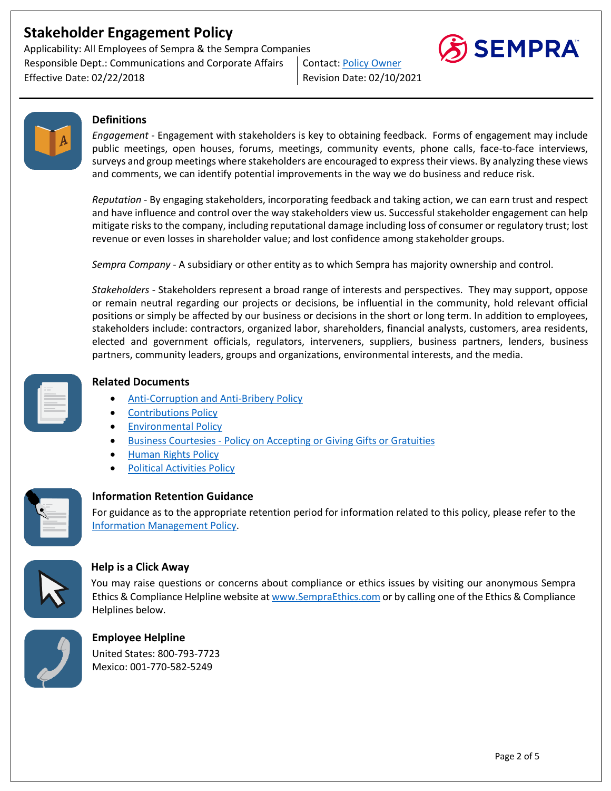Applicability: All Employees of Sempra & the Sempra Companies Responsible Dept.: Communications and Corporate Affairs | Contact: Policy Owner Effective Date: 02/22/2018 Revision Date: 02/10/2021





## **Definitions**

*Engagement* - Engagement with stakeholders is key to obtaining feedback. Forms of engagement may include public meetings, open houses, forums, meetings, community events, phone calls, face-to-face interviews, surveys and group meetings where stakeholders are encouraged to express their views. By analyzing these views and comments, we can identify potential improvements in the way we do business and reduce risk.

*Reputation* - By engaging stakeholders, incorporating feedback and taking action, we can earn trust and respect and have influence and control over the way stakeholders view us. Successful stakeholder engagement can help mitigate risks to the company, including reputational damage including loss of consumer or regulatory trust; lost revenue or even losses in shareholder value; and lost confidence among stakeholder groups.

*Sempra Company* - A subsidiary or other entity as to which Sempra has majority ownership and control.

*Stakeholders* - Stakeholders represent a broad range of interests and perspectives. They may support, oppose or remain neutral regarding our projects or decisions, be influential in the community, hold relevant official positions or simply be affected by our business or decisions in the short or long term. In addition to employees, stakeholders include: contractors, organized labor, shareholders, financial analysts, customers, area residents, elected and government officials, regulators, interveners, suppliers, business partners, lenders, business partners, community leaders, groups and organizations, environmental interests, and the media.



## **Related Documents**

- Anti-Corruption and Anti-Bribery Policy
- Contributions Policy
- Environmental Policy
- **Business Courtesies Policy on Accepting or Giving Gifts or Gratuities**
- Human Rights Policy
- Political Activities Policy



## **Information Retention Guidance**

For guidance as to the appropriate retention period for information related to this policy, please refer to the Information Management Policy.



## **Help is a Click Away**

You may raise questions or concerns about compliance or ethics issues by visiting our anonymous Sempra Ethics & Compliance Helpline website at www.SempraEthics.com or by calling one of the Ethics & Compliance Helplines below.



**Employee Helpline**  United States: 800-793-7723 Mexico: 001-770-582-5249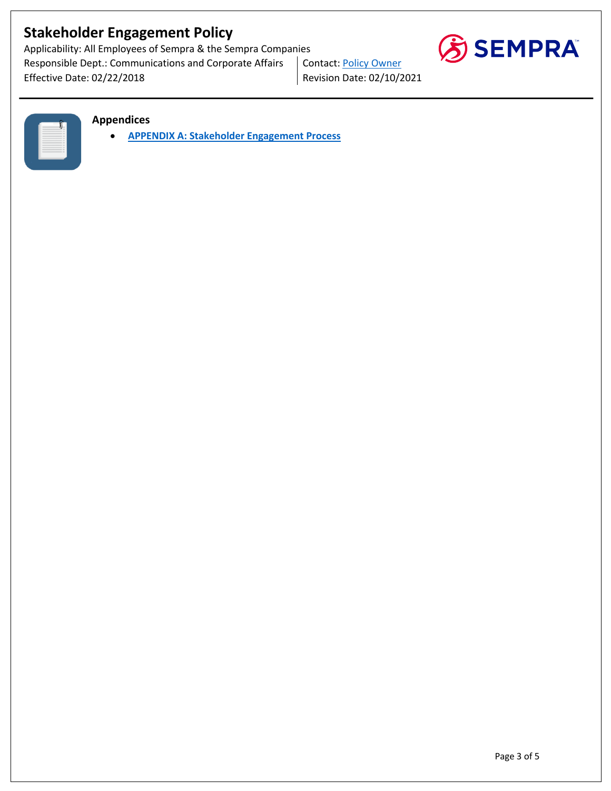Applicability: All Employees of Sempra & the Sempra Companies Responsible Dept.: Communications and Corporate Affairs | Contact: Policy Owner Effective Date: 02/22/2018 **Revision Date: 02/10/2021** 



|  | ۰<br>٠<br>í              |  |
|--|--------------------------|--|
|  | . .                      |  |
|  | . .                      |  |
|  | . .                      |  |
|  | $\sim$                   |  |
|  | $\overline{\phantom{a}}$ |  |
|  | $-$                      |  |
|  | . .                      |  |
|  | $\overline{\phantom{a}}$ |  |
|  | $\sim$                   |  |
|  |                          |  |
|  |                          |  |
|  |                          |  |
|  |                          |  |

#### **Appendices**

• **APPENDIX A: Stakeholder Engagement Process**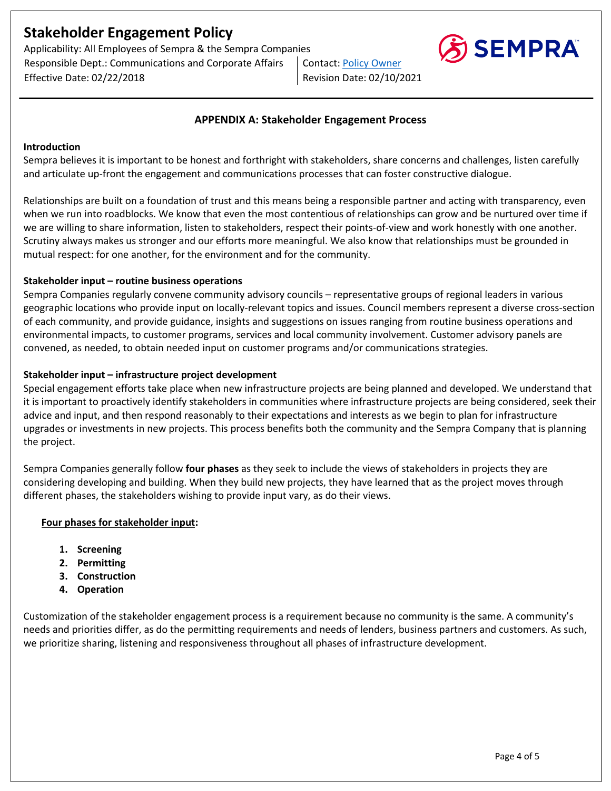Applicability: All Employees of Sempra & the Sempra Companies Responsible Dept.: Communications and Corporate Affairs | Contact: Policy Owner Effective Date: 02/22/2018 Revision Date: 02/10/2021



#### **APPENDIX A: Stakeholder Engagement Process**

#### **Introduction**

Sempra believes it is important to be honest and forthright with stakeholders, share concerns and challenges, listen carefully and articulate up-front the engagement and communications processes that can foster constructive dialogue.

Relationships are built on a foundation of trust and this means being a responsible partner and acting with transparency, even when we run into roadblocks. We know that even the most contentious of relationships can grow and be nurtured over time if we are willing to share information, listen to stakeholders, respect their points-of-view and work honestly with one another. Scrutiny always makes us stronger and our efforts more meaningful. We also know that relationships must be grounded in mutual respect: for one another, for the environment and for the community.

#### **Stakeholder input – routine business operations**

Sempra Companies regularly convene community advisory councils – representative groups of regional leaders in various geographic locations who provide input on locally-relevant topics and issues. Council members represent a diverse cross-section of each community, and provide guidance, insights and suggestions on issues ranging from routine business operations and environmental impacts, to customer programs, services and local community involvement. Customer advisory panels are convened, as needed, to obtain needed input on customer programs and/or communications strategies.

#### **Stakeholder input – infrastructure project development**

Special engagement efforts take place when new infrastructure projects are being planned and developed. We understand that it is important to proactively identify stakeholders in communities where infrastructure projects are being considered, seek their advice and input, and then respond reasonably to their expectations and interests as we begin to plan for infrastructure upgrades or investments in new projects. This process benefits both the community and the Sempra Company that is planning the project.

Sempra Companies generally follow **four phases** as they seek to include the views of stakeholders in projects they are considering developing and building. When they build new projects, they have learned that as the project moves through different phases, the stakeholders wishing to provide input vary, as do their views.

#### **Four phases for stakeholder input:**

- **1. Screening**
- **2. Permitting**
- **3. Construction**
- **4. Operation**

Customization of the stakeholder engagement process is a requirement because no community is the same. A community's needs and priorities differ, as do the permitting requirements and needs of lenders, business partners and customers. As such, we prioritize sharing, listening and responsiveness throughout all phases of infrastructure development.